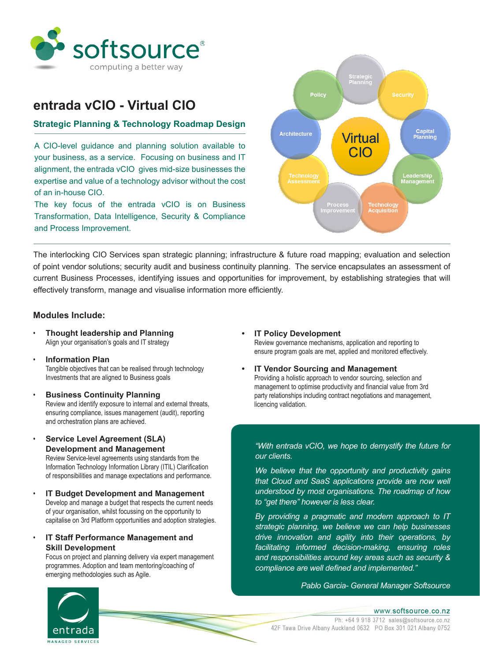

# **entrada vCIO - Virtual CIO**

## **Strategic Planning & Technology Roadmap Design**

A CIO-level guidance and planning solution available to your business, as a service. Focusing on business and IT alignment, the entrada vCIO gives mid-size businesses the expertise and value of a technology advisor without the cost of an in-house CIO.

The key focus of the entrada vCIO is on Business Transformation, Data Intelligence, Security & Compliance and Process Improvement.



The interlocking CIO Services span strategic planning; infrastructure & future road mapping; evaluation and selection of point vendor solutions; security audit and business continuity planning. The service encapsulates an assessment of current Business Processes, identifying issues and opportunities for improvement, by establishing strategies that will effectively transform, manage and visualise information more efficiently.

### **Modules Include:**

- **Thought leadership and Planning**  Align your organisation's goals and IT strategy
- **Information Plan**  Tangible objectives that can be realised through technology Investments that are aligned to Business goals
- **Business Continuity Planning**  Review and identify exposure to internal and external threats, ensuring compliance, issues management (audit), reporting and orchestration plans are achieved.
- **Service Level Agreement (SLA) Development and Management**  Review Service-level agreements using standards from the Information Technology Information Library (ITIL) Clarification of responsibilities and manage expectations and performance.
- **IT Budget Development and Management**  Develop and manage a budget that respects the current needs of your organisation, whilst focussing on the opportunity to capitalise on 3rd Platform opportunities and adoption strategies.
- **IT Staff Performance Management and Skill Development**

 Focus on project and planning delivery via expert management programmes. Adoption and team mentoring/coaching of emerging methodologies such as Agile.

- **IT Policy Development**  Review governance mechanisms, application and reporting to ensure program goals are met, applied and monitored effectively.
- **• IT Vendor Sourcing and Management** Providing a holistic approach to vendor sourcing, selection and management to optimise productivity and financial value from 3rd party relationships including contract negotiations and management, licencing validation.

*"With entrada vCIO, we hope to demystify the future for our clients.* 

*We believe that the opportunity and productivity gains that Cloud and SaaS applications provide are now well understood by most organisations. The roadmap of how to "get there" however is less clear.* 

*By providing a pragmatic and modern approach to IT strategic planning, we believe we can help businesses drive innovation and agility into their operations, by facilitating informed decision-making, ensuring roles and responsibilities around key areas such as security & compliance are well defined and implemented."*

*Pablo Garcia- General Manager Softsource*



www.softsource.co.nz Ph: +64 9 918 3712 sales@softsource.co.nz 42F Tawa Drive Albany Auckland 0632 PO Box 301 021 Albany 0752